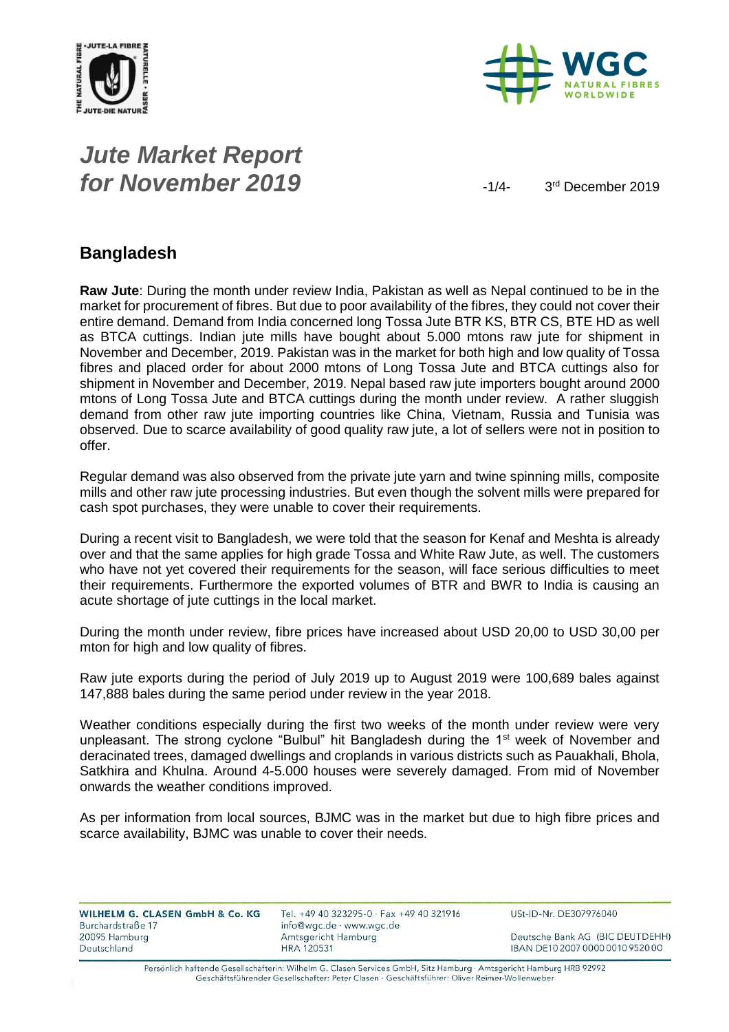



# *Jute Market Report for November 2019*  $\frac{1}{4}$

3<sup>rd</sup> December 2019

#### **Bangladesh**

**Raw Jute**: During the month under review India, Pakistan as well as Nepal continued to be in the market for procurement of fibres. But due to poor availability of the fibres, they could not cover their entire demand. Demand from India concerned long Tossa Jute BTR KS, BTR CS, BTE HD as well as BTCA cuttings. Indian jute mills have bought about 5.000 mtons raw jute for shipment in November and December, 2019. Pakistan was in the market for both high and low quality of Tossa fibres and placed order for about 2000 mtons of Long Tossa Jute and BTCA cuttings also for shipment in November and December, 2019. Nepal based raw jute importers bought around 2000 mtons of Long Tossa Jute and BTCA cuttings during the month under review. A rather sluggish demand from other raw jute importing countries like China, Vietnam, Russia and Tunisia was observed. Due to scarce availability of good quality raw jute, a lot of sellers were not in position to offer.

Regular demand was also observed from the private jute yarn and twine spinning mills, composite mills and other raw jute processing industries. But even though the solvent mills were prepared for cash spot purchases, they were unable to cover their requirements.

During a recent visit to Bangladesh, we were told that the season for Kenaf and Meshta is already over and that the same applies for high grade Tossa and White Raw Jute, as well. The customers who have not yet covered their requirements for the season, will face serious difficulties to meet their requirements. Furthermore the exported volumes of BTR and BWR to India is causing an acute shortage of jute cuttings in the local market.

During the month under review, fibre prices have increased about USD 20,00 to USD 30,00 per mton for high and low quality of fibres.

Raw jute exports during the period of July 2019 up to August 2019 were 100,689 bales against 147,888 bales during the same period under review in the year 2018.

Weather conditions especially during the first two weeks of the month under review were very unpleasant. The strong cyclone "Bulbul" hit Bangladesh during the  $1<sup>st</sup>$  week of November and deracinated trees, damaged dwellings and croplands in various districts such as Pauakhali, Bhola, Satkhira and Khulna. Around 4-5.000 houses were severely damaged. From mid of November onwards the weather conditions improved.

As per information from local sources, BJMC was in the market but due to high fibre prices and scarce availability, BJMC was unable to cover their needs.

| WILHELM G. CLASEN GmbH & Co. KG | Tel. +49 40 323295-0 · Fax +49 40 321916 | USt-ID-Nr. DE307976040           |
|---------------------------------|------------------------------------------|----------------------------------|
| Burchardstraße 17               | info@wgc.de · www.wgc.de                 |                                  |
| 20095 Hamburg                   | Amtsgericht Hamburg                      | Deutsche Bank AG (BIC DEUTDEHH)  |
| Deutschland                     | <b>HRA 120531</b>                        | IBAN DE10 2007 0000 0010 9520 00 |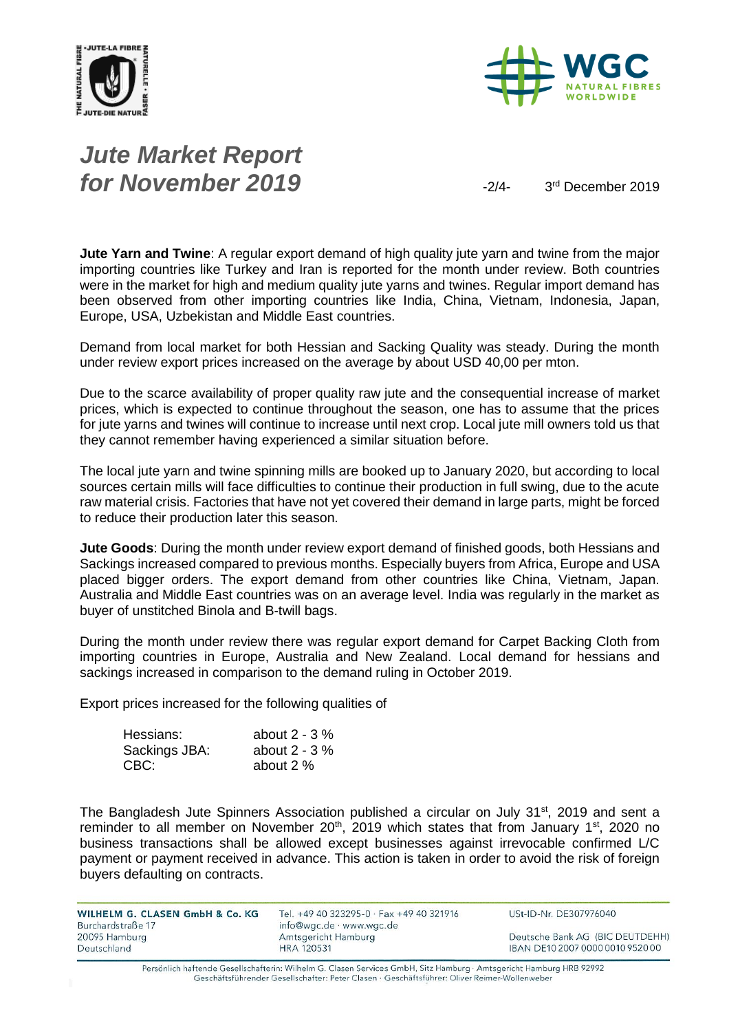



# *Jute Market Report for November 2019*  $\frac{3}{4}$

3<sup>rd</sup> December 2019

**Jute Yarn and Twine**: A regular export demand of high quality jute yarn and twine from the major importing countries like Turkey and Iran is reported for the month under review. Both countries were in the market for high and medium quality jute yarns and twines. Regular import demand has been observed from other importing countries like India, China, Vietnam, Indonesia, Japan, Europe, USA, Uzbekistan and Middle East countries.

Demand from local market for both Hessian and Sacking Quality was steady. During the month under review export prices increased on the average by about USD 40,00 per mton.

Due to the scarce availability of proper quality raw jute and the consequential increase of market prices, which is expected to continue throughout the season, one has to assume that the prices for jute yarns and twines will continue to increase until next crop. Local jute mill owners told us that they cannot remember having experienced a similar situation before.

The local jute yarn and twine spinning mills are booked up to January 2020, but according to local sources certain mills will face difficulties to continue their production in full swing, due to the acute raw material crisis. Factories that have not yet covered their demand in large parts, might be forced to reduce their production later this season.

**Jute Goods**: During the month under review export demand of finished goods, both Hessians and Sackings increased compared to previous months. Especially buyers from Africa, Europe and USA placed bigger orders. The export demand from other countries like China, Vietnam, Japan. Australia and Middle East countries was on an average level. India was regularly in the market as buyer of unstitched Binola and B-twill bags.

During the month under review there was regular export demand for Carpet Backing Cloth from importing countries in Europe, Australia and New Zealand. Local demand for hessians and sackings increased in comparison to the demand ruling in October 2019.

Export prices increased for the following qualities of

| Hessians:     | about $2 - 3\%$ |
|---------------|-----------------|
| Sackings JBA: | about $2 - 3\%$ |
| CBC:          | about 2 %       |

The Bangladesh Jute Spinners Association published a circular on July 31<sup>st</sup>, 2019 and sent a reminder to all member on November  $20<sup>th</sup>$ , 2019 which states that from January 1<sup>st</sup>, 2020 no business transactions shall be allowed except businesses against irrevocable confirmed L/C payment or payment received in advance. This action is taken in order to avoid the risk of foreign buyers defaulting on contracts.

WILHELM G. CLASEN GmbH & Co. KG Burchardstraße 17 20095 Hamburg Deutschland

Tel. +49 40 323295-0 · Fax +49 40 321916 info@wgc.de · www.wgc.de Amtsgericht Hamburg **HRA 120531** 

USt-ID-Nr. DE307976040

Deutsche Bank AG (BIC DEUTDEHH) IBAN DE10 2007 0000 0010 9520 00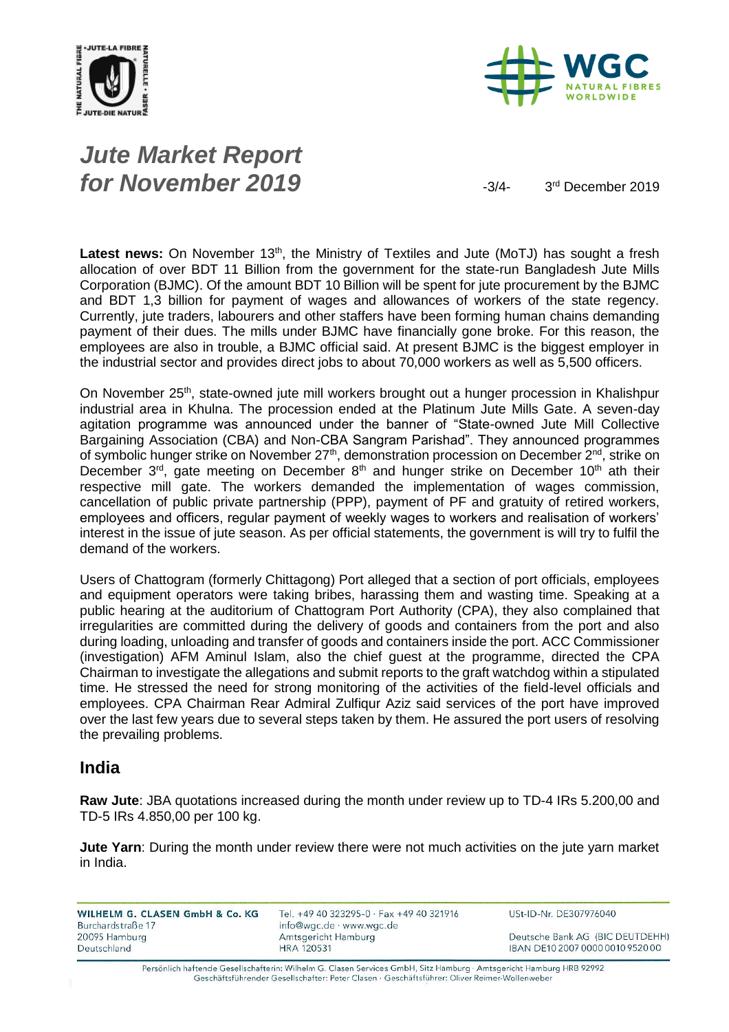



# *Jute Market Report for November 2019*  $\frac{3}{4}$

3<sup>rd</sup> December 2019

Latest news: On November 13<sup>th</sup>, the Ministry of Textiles and Jute (MoTJ) has sought a fresh allocation of over BDT 11 Billion from the government for the state-run Bangladesh Jute Mills Corporation (BJMC). Of the amount BDT 10 Billion will be spent for jute procurement by the BJMC and BDT 1,3 billion for payment of wages and allowances of workers of the state regency. Currently, jute traders, labourers and other staffers have been forming human chains demanding payment of their dues. The mills under BJMC have financially gone broke. For this reason, the employees are also in trouble, a BJMC official said. At present BJMC is the biggest employer in the industrial sector and provides direct jobs to about 70,000 workers as well as 5,500 officers.

On November 25<sup>th</sup>, state-owned jute mill workers brought out a hunger procession in Khalishpur industrial area in Khulna. The procession ended at the Platinum Jute Mills Gate. A seven-day agitation programme was announced under the banner of "State-owned Jute Mill Collective Bargaining Association (CBA) and Non-CBA Sangram Parishad". They announced programmes of symbolic hunger strike on November  $27<sup>th</sup>$ , demonstration procession on December  $2<sup>nd</sup>$ , strike on December  $3^{rd}$ , gate meeting on December  $8^{th}$  and hunger strike on December 10<sup>th</sup> ath their respective mill gate. The workers demanded the implementation of wages commission, cancellation of public private partnership (PPP), payment of PF and gratuity of retired workers, employees and officers, regular payment of weekly wages to workers and realisation of workers' interest in the issue of jute season. As per official statements, the government is will try to fulfil the demand of the workers.

Users of Chattogram (formerly Chittagong) Port alleged that a section of port officials, employees and equipment operators were taking bribes, harassing them and wasting time. Speaking at a public hearing at the auditorium of Chattogram Port Authority (CPA), they also complained that irregularities are committed during the delivery of goods and containers from the port and also during loading, unloading and transfer of goods and containers inside the port. ACC Commissioner (investigation) AFM Aminul Islam, also the chief guest at the programme, directed the CPA Chairman to investigate the allegations and submit reports to the graft watchdog within a stipulated time. He stressed the need for strong monitoring of the activities of the field-level officials and employees. CPA Chairman Rear Admiral Zulfiqur Aziz said services of the port have improved over the last few years due to several steps taken by them. He assured the port users of resolving the prevailing problems.

#### **India**

**Raw Jute**: JBA quotations increased during the month under review up to TD-4 IRs 5.200,00 and TD-5 IRs 4.850,00 per 100 kg.

**Jute Yarn**: During the month under review there were not much activities on the jute yarn market in India.

| WILHELM G. CLASEN GmbH & Co. KG    | Tel. +49 40 323295-0 · Fax +49 40 321916        | USt-ID-Nr. DE307976040           |
|------------------------------------|-------------------------------------------------|----------------------------------|
| Burchardstraße 17<br>20095 Hamburg | info@wgc.de · www.wgc.de<br>Amtsgericht Hamburg | Deutsche Bank AG (BIC DEUTDEHH)  |
| Deutschland                        | <b>HRA 120531</b>                               | IBAN DE10 2007 0000 0010 9520 00 |